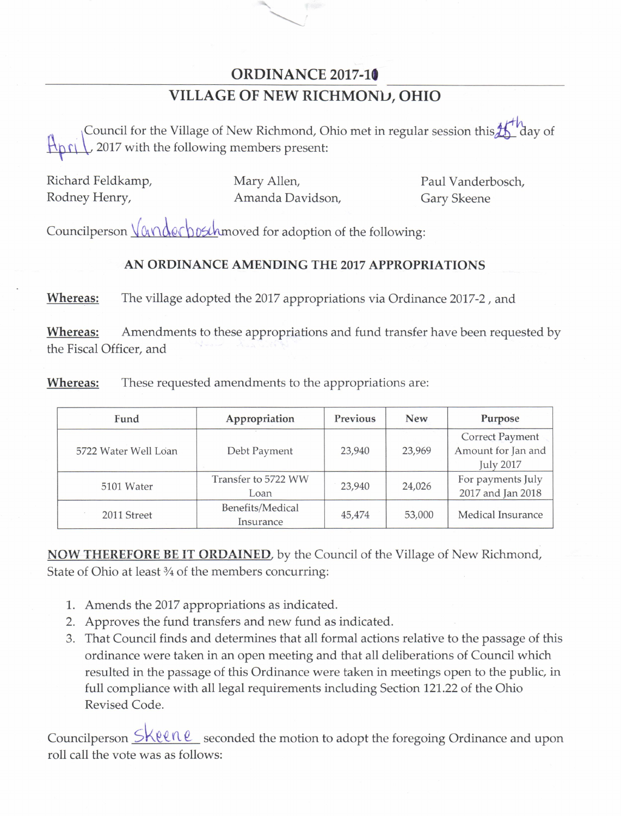## ORDINANCE 2017-10

## VILLAGE OF NEW RICHMOND, OHIO

M For the Village of New Richmond, Ohio met in regular session this <sup>11</sup> day of<br>tith the following members present:<br>mp, Mary Allen, Paul Vanderbosch, Amanda Davidson, Gary Skeene<br>Vander post moved for adoption of the followi Council for the Village of New Richmond, Ohio met in regular session this  $\frac{1}{\sqrt{2}}$  day of  $\sqrt{2017}$  with the following members present:

|               | Richard Feldkamp, |
|---------------|-------------------|
| Rodney Henry, |                   |

Mary Allen, **Mary Allen, Paul Vanderbosch**, Amanda Davidson, Gary Skeene

Councilperson  $\sqrt{\alpha \wedge \alpha \varepsilon}$  bost-hmoved for adoption of the following:

## AN ORDINANCE AMENDING THE 2017 APPROPRIATIONS

Whereas: The village adopted the 2017 appropriations via Ordinance 2017-2, and

Whereas: Amendments to these appropriations and fund transfer have been requested by the Fiscal Officer, and

|  | Fund                 | Appropriation                 | Previous | <b>New</b> | Purpose                                                          |
|--|----------------------|-------------------------------|----------|------------|------------------------------------------------------------------|
|  | 5722 Water Well Loan | Debt Payment                  | 23,940   | 23,969     | <b>Correct Payment</b><br>Amount for Jan and<br><b>July 2017</b> |
|  | 5101 Water           | Transfer to 5722 WW<br>Loan   | 23,940   | 24,026     | For payments July<br>2017 and Jan 2018                           |
|  | 2011 Street          | Benefits/Medical<br>Insurance | 45,474   | 53,000     | Medical Insurance                                                |

Whereas: These requested amendments to the appropriations are:

**NOW THEREFORE BE IT ORDAINED**, by the Council of the Village of New Richmond, State of Ohio at least 3/4 of the members concurring:

- 1. Amends the 2017 appropriations as indicated.
- 2. Approves the fund transfers and new fund as indicated.
- 3. That Council finds and determines that all formal actions relative to the passage of this ordinance were taken in an open meeting and that all deliberations of Council which resulted in the passage of this Ordinance were taken in meetings open to the public, in full compliance with all legal requirements including Section 121. 22 of the Ohio Revised Code.

Councilperson  $\frac{\text{Skell}}{\text{l}}$  seconded the motion to adopt the foregoing Ordinance and upon roll call the vote was as follows: